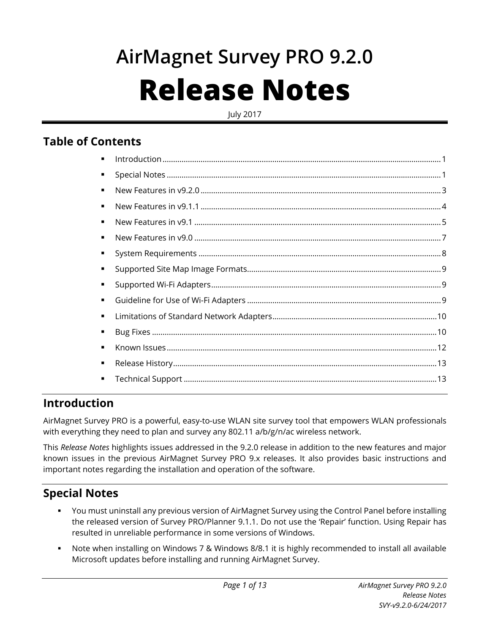# **AirMagnet Survey PRO 9.2.0 Release Notes**

July 2017

## **Table of Contents**

| ٠ |  |
|---|--|
| ٠ |  |
| ٠ |  |
| ٠ |  |
| ٠ |  |
| ٠ |  |
| ٠ |  |
| ٠ |  |
| ٠ |  |
| ٠ |  |
| ٠ |  |
|   |  |
| ٠ |  |
| ٠ |  |
| ٠ |  |
|   |  |

# <span id="page-0-0"></span>**Introduction**

AirMagnet Survey PRO is a powerful, easy-to-use WLAN site survey tool that empowers WLAN professionals with everything they need to plan and survey any 802.11 a/b/g/n/ac wireless network.

This *Release Notes* highlights issues addressed in the 9.2.0 release in addition to the new features and major known issues in the previous AirMagnet Survey PRO 9.x releases. It also provides basic instructions and important notes regarding the installation and operation of the software.

# <span id="page-0-1"></span>**Special Notes**

- You must uninstall any previous version of AirMagnet Survey using the Control Panel before installing the released version of Survey PRO/Planner 9.1.1. Do not use the 'Repair' function. Using Repair has resulted in unreliable performance in some versions of Windows.
- Note when installing on Windows 7 & Windows 8/8.1 it is highly recommended to install all available Microsoft updates before installing and running AirMagnet Survey.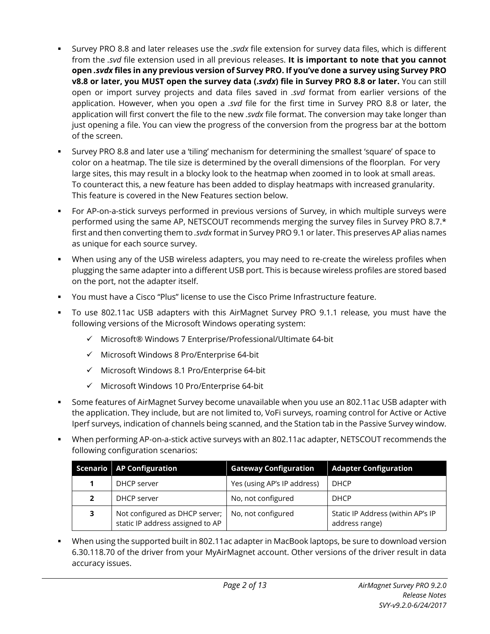- Survey PRO 8.8 and later releases use the *.svdx* file extension for survey data files, which is different from the *.svd* file extension used in all previous releases. **It is important to note that you cannot open** *.svdx* **files in any previous version of Survey PRO. If you've done a survey using Survey PRO v8.8 or later, you MUST open the survey data (.***svdx***) file in Survey PRO 8.8 or later.** You can still open or import survey projects and data files saved in *.svd* format from earlier versions of the application. However, when you open a *.svd* file for the first time in Survey PRO 8.8 or later, the application will first convert the file to the new *.svdx* file format. The conversion may take longer than just opening a file. You can view the progress of the conversion from the progress bar at the bottom of the screen.
- Survey PRO 8.8 and later use a 'tiling' mechanism for determining the smallest 'square' of space to color on a heatmap. The tile size is determined by the overall dimensions of the floorplan. For very large sites, this may result in a blocky look to the heatmap when zoomed in to look at small areas. To counteract this, a new feature has been added to display heatmaps with increased granularity. This feature is covered in the New Features section below.
- For AP-on-a-stick surveys performed in previous versions of Survey, in which multiple surveys were performed using the same AP, NETSCOUT recommends merging the survey files in Survey PRO 8.7.\* first and then converting them to *.svdx* format in Survey PRO 9.1 or later. This preserves AP alias names as unique for each source survey.
- When using any of the USB wireless adapters, you may need to re-create the wireless profiles when plugging the same adapter into a different USB port. This is because wireless profiles are stored based on the port, not the adapter itself.
- You must have a Cisco "Plus" license to use the Cisco Prime Infrastructure feature.
- To use 802.11ac USB adapters with this AirMagnet Survey PRO 9.1.1 release, you must have the following versions of the Microsoft Windows operating system:
	- $\checkmark$  Microsoft® Windows 7 Enterprise/Professional/Ultimate 64-bit
	- $\checkmark$  Microsoft Windows 8 Pro/Enterprise 64-bit
	- $\checkmark$  Microsoft Windows 8.1 Pro/Enterprise 64-bit
	- $\checkmark$  Microsoft Windows 10 Pro/Enterprise 64-bit
- Some features of AirMagnet Survey become unavailable when you use an 802.11ac USB adapter with the application. They include, but are not limited to, VoFi surveys, roaming control for Active or Active Iperf surveys, indication of channels being scanned, and the Station tab in the Passive Survey window.
- When performing AP-on-a-stick active surveys with an 802.11ac adapter, NETSCOUT recommends the following configuration scenarios:

|                                                           | Scenario   AP Configuration                                        | <b>Gateway Configuration</b> | <b>Adapter Configuration</b>                        |
|-----------------------------------------------------------|--------------------------------------------------------------------|------------------------------|-----------------------------------------------------|
| Yes (using AP's IP address)<br><b>DHCP</b><br>DHCP server |                                                                    |                              |                                                     |
| DHCP server<br>2                                          |                                                                    | No, not configured           | <b>DHCP</b>                                         |
| 3                                                         | Not configured as DHCP server;<br>static IP address assigned to AP | No, not configured           | Static IP Address (within AP's IP<br>address range) |

 When using the supported built in 802.11ac adapter in MacBook laptops, be sure to download version 6.30.118.70 of the driver from your MyAirMagnet account. Other versions of the driver result in data accuracy issues.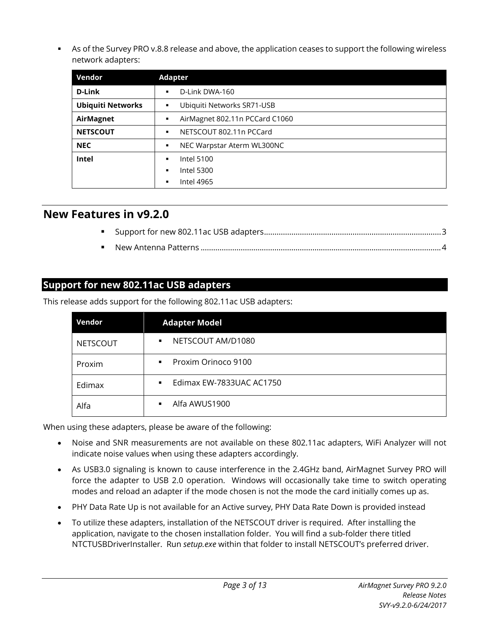As of the Survey PRO v.8.8 release and above, the application ceases to support the following wireless network adapters:

| Vendor                   | <b>Adapter</b>                      |
|--------------------------|-------------------------------------|
| <b>D-Link</b>            | D-Link DWA-160<br>٠,                |
| <b>Ubiquiti Networks</b> | Ubiquiti Networks SR71-USB<br>٠     |
| AirMagnet                | AirMagnet 802.11n PCCard C1060<br>٠ |
| <b>NETSCOUT</b>          | NETSCOUT 802.11n PCCard<br>٠        |
| <b>NEC</b>               | NEC Warpstar Aterm WL300NC<br>٠     |
| Intel                    | <b>Intel 5100</b><br>٠              |
|                          | <b>Intel 5300</b><br>٠              |
|                          | Intel 4965<br>٠                     |

#### <span id="page-2-0"></span>**New Features in v9.2.0**

#### <span id="page-2-1"></span>**Support for new 802.11ac USB adapters**

This release adds support for the following 802.11ac USB adapters:

| Vendor          | <b>Adapter Model</b>                       |
|-----------------|--------------------------------------------|
| <b>NETSCOUT</b> | NETSCOUT AM/D1080<br>$\blacksquare$        |
| Proxim          | Proxim Orinoco 9100<br>$\blacksquare$      |
| Edimax          | Edimax EW-7833UAC AC1750<br>$\blacksquare$ |
| Alfa            | Alfa AWUS1900<br>$\blacksquare$            |

When using these adapters, please be aware of the following:

- Noise and SNR measurements are not available on these 802.11ac adapters, WiFi Analyzer will not indicate noise values when using these adapters accordingly.
- As USB3.0 signaling is known to cause interference in the 2.4GHz band, AirMagnet Survey PRO will force the adapter to USB 2.0 operation. Windows will occasionally take time to switch operating modes and reload an adapter if the mode chosen is not the mode the card initially comes up as.
- PHY Data Rate Up is not available for an Active survey, PHY Data Rate Down is provided instead
- To utilize these adapters, installation of the NETSCOUT driver is required. After installing the application, navigate to the chosen installation folder. You will find a sub-folder there titled NTCTUSBDriverInstaller. Run *setup.exe* within that folder to install NETSCOUT's preferred driver.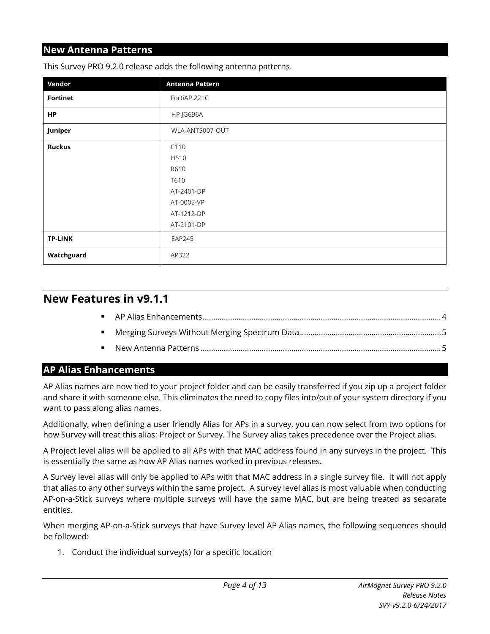#### <span id="page-3-1"></span>**New Antenna Patterns**

| Vendor          | Antenna Pattern |
|-----------------|-----------------|
| <b>Fortinet</b> | FortiAP 221C    |
| <b>HP</b>       | HP JG696A       |
| Juniper         | WLA-ANT5007-OUT |
| <b>Ruckus</b>   | C110            |
|                 | H510            |
|                 | R610            |
|                 | T610            |
|                 | AT-2401-DP      |
|                 | AT-0005-VP      |
|                 | AT-1212-DP      |
|                 | AT-2101-DP      |
| <b>TP-LINK</b>  | <b>EAP245</b>   |
| Watchguard      | AP322           |

This Survey PRO 9.2.0 release adds the following antenna patterns.

### <span id="page-3-0"></span>**New Features in v9.1.1**

#### <span id="page-3-2"></span>**AP Alias Enhancements**

AP Alias names are now tied to your project folder and can be easily transferred if you zip up a project folder and share it with someone else. This eliminates the need to copy files into/out of your system directory if you want to pass along alias names.

Additionally, when defining a user friendly Alias for APs in a survey, you can now select from two options for how Survey will treat this alias: Project or Survey. The Survey alias takes precedence over the Project alias.

A Project level alias will be applied to all APs with that MAC address found in any surveys in the project. This is essentially the same as how AP Alias names worked in previous releases.

A Survey level alias will only be applied to APs with that MAC address in a single survey file. It will not apply that alias to any other surveys within the same project. A survey level alias is most valuable when conducting AP-on-a-Stick surveys where multiple surveys will have the same MAC, but are being treated as separate entities.

When merging AP-on-a-Stick surveys that have Survey level AP Alias names, the following sequences should be followed:

1. Conduct the individual survey(s) for a specific location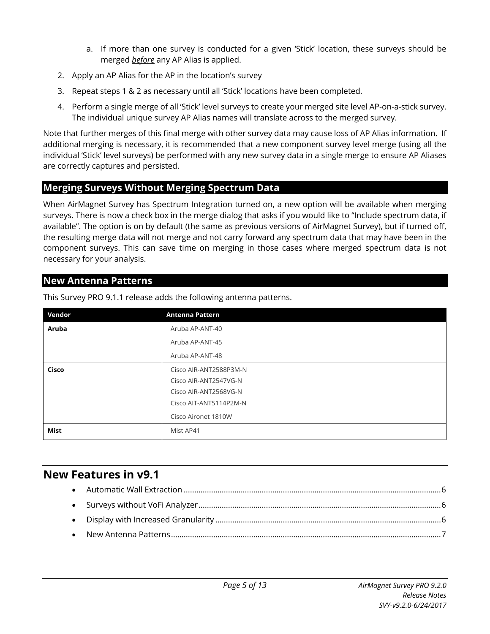- a. If more than one survey is conducted for a given 'Stick' location, these surveys should be merged *before* any AP Alias is applied.
- 2. Apply an AP Alias for the AP in the location's survey
- 3. Repeat steps 1 & 2 as necessary until all 'Stick' locations have been completed.
- 4. Perform a single merge of all 'Stick' level surveys to create your merged site level AP-on-a-stick survey. The individual unique survey AP Alias names will translate across to the merged survey.

Note that further merges of this final merge with other survey data may cause loss of AP Alias information. If additional merging is necessary, it is recommended that a new component survey level merge (using all the individual 'Stick' level surveys) be performed with any new survey data in a single merge to ensure AP Aliases are correctly captures and persisted.

#### <span id="page-4-1"></span>**Merging Surveys Without Merging Spectrum Data**

When AirMagnet Survey has Spectrum Integration turned on, a new option will be available when merging surveys. There is now a check box in the merge dialog that asks if you would like to "Include spectrum data, if available". The option is on by default (the same as previous versions of AirMagnet Survey), but if turned off, the resulting merge data will not merge and not carry forward any spectrum data that may have been in the component surveys. This can save time on merging in those cases where merged spectrum data is not necessary for your analysis.

#### <span id="page-4-2"></span>**New Antenna Patterns**

| Vendor | <b>Antenna Pattern</b> |
|--------|------------------------|
| Aruba  | Aruba AP-ANT-40        |
|        | Aruba AP-ANT-45        |
|        | Aruba AP-ANT-48        |
| Cisco  | Cisco AIR-ANT2588P3M-N |
|        | Cisco AIR-ANT2547VG-N  |
|        | Cisco AIR-ANT2568VG-N  |
|        | Cisco AIT-ANT5114P2M-N |
|        | Cisco Aironet 1810W    |
| Mist   | Mist AP41              |

This Survey PRO 9.1.1 release adds the following antenna patterns.

## <span id="page-4-0"></span>**New Features in v9.1**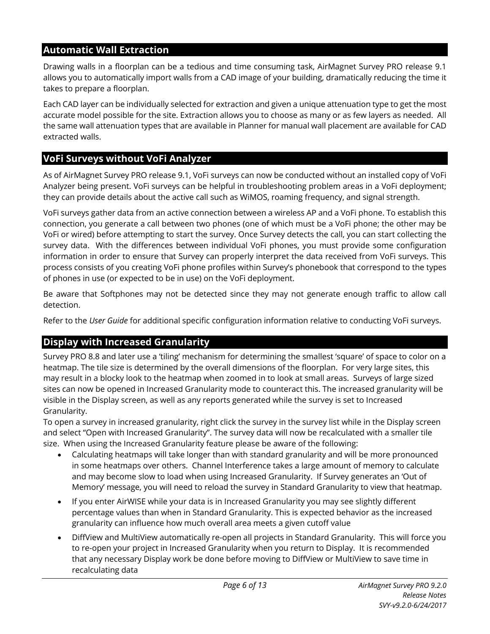#### <span id="page-5-0"></span>**Automatic Wall Extraction**

Drawing walls in a floorplan can be a tedious and time consuming task, AirMagnet Survey PRO release 9.1 allows you to automatically import walls from a CAD image of your building, dramatically reducing the time it takes to prepare a floorplan.

Each CAD layer can be individually selected for extraction and given a unique attenuation type to get the most accurate model possible for the site. Extraction allows you to choose as many or as few layers as needed. All the same wall attenuation types that are available in Planner for manual wall placement are available for CAD extracted walls.

#### **VoFi Surveys without VoFi Analyzer**

As of AirMagnet Survey PRO release 9.1, VoFi surveys can now be conducted without an installed copy of VoFi Analyzer being present. VoFi surveys can be helpful in troubleshooting problem areas in a VoFi deployment; they can provide details about the active call such as WiMOS, roaming frequency, and signal strength.

VoFi surveys gather data from an active connection between a wireless AP and a VoFi phone. To establish this connection, you generate a call between two phones (one of which must be a VoFi phone; the other may be VoFi or wired) before attempting to start the survey. Once Survey detects the call, you can start collecting the survey data. With the differences between individual VoFi phones, you must provide some configuration information in order to ensure that Survey can properly interpret the data received from VoFi surveys. This process consists of you creating VoFi phone profiles within Survey's phonebook that correspond to the types of phones in use (or expected to be in use) on the VoFi deployment.

Be aware that Softphones may not be detected since they may not generate enough traffic to allow call detection.

Refer to the *User Guide* for additional specific configuration information relative to conducting VoFi surveys.

#### **Display with Increased Granularity**

Survey PRO 8.8 and later use a 'tiling' mechanism for determining the smallest 'square' of space to color on a heatmap. The tile size is determined by the overall dimensions of the floorplan. For very large sites, this may result in a blocky look to the heatmap when zoomed in to look at small areas. Surveys of large sized sites can now be opened in Increased Granularity mode to counteract this. The increased granularity will be visible in the Display screen, as well as any reports generated while the survey is set to Increased Granularity.

To open a survey in increased granularity, right click the survey in the survey list while in the Display screen and select "Open with Increased Granularity". The survey data will now be recalculated with a smaller tile size. When using the Increased Granularity feature please be aware of the following:

- Calculating heatmaps will take longer than with standard granularity and will be more pronounced in some heatmaps over others. Channel Interference takes a large amount of memory to calculate and may become slow to load when using Increased Granularity. If Survey generates an 'Out of Memory' message, you will need to reload the survey in Standard Granularity to view that heatmap.
- If you enter AirWISE while your data is in Increased Granularity you may see slightly different percentage values than when in Standard Granularity. This is expected behavior as the increased granularity can influence how much overall area meets a given cutoff value
- DiffView and MultiView automatically re-open all projects in Standard Granularity. This will force you to re-open your project in Increased Granularity when you return to Display. It is recommended that any necessary Display work be done before moving to DiffView or MultiView to save time in recalculating data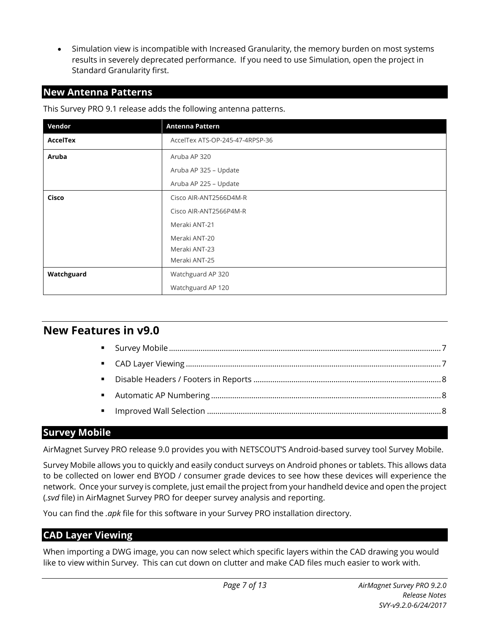<span id="page-6-1"></span>• Simulation view is incompatible with Increased Granularity, the memory burden on most systems results in severely deprecated performance. If you need to use Simulation, open the project in Standard Granularity first.

#### **New Antenna Patterns**

This Survey PRO 9.1 release adds the following antenna patterns.

| Vendor          | Antenna Pattern                 |
|-----------------|---------------------------------|
| <b>AccelTex</b> | AccelTex ATS-OP-245-47-4RPSP-36 |
| Aruba           | Aruba AP 320                    |
|                 | Aruba AP 325 - Update           |
|                 | Aruba AP 225 - Update           |
| Cisco           | Cisco AIR-ANT2566D4M-R          |
|                 | Cisco AIR-ANT2566P4M-R          |
|                 | Meraki ANT-21                   |
|                 | Meraki ANT-20                   |
|                 | Meraki ANT-23                   |
|                 | Meraki ANT-25                   |
| Watchguard      | Watchguard AP 320               |
|                 | Watchguard AP 120               |

## <span id="page-6-0"></span>**New Features in v9.0**

#### <span id="page-6-2"></span>**Survey Mobile**

AirMagnet Survey PRO release 9.0 provides you with NETSCOUT'S Android-based survey tool Survey Mobile.

Survey Mobile allows you to quickly and easily conduct surveys on Android phones or tablets. This allows data to be collected on lower end BYOD / consumer grade devices to see how these devices will experience the network. Once your survey is complete, just email the project from your handheld device and open the project (*.svd* file) in AirMagnet Survey PRO for deeper survey analysis and reporting.

You can find the *.apk* file for this software in your Survey PRO installation directory.

#### <span id="page-6-3"></span>**CAD Layer Viewing**

When importing a DWG image, you can now select which specific layers within the CAD drawing you would like to view within Survey. This can cut down on clutter and make CAD files much easier to work with.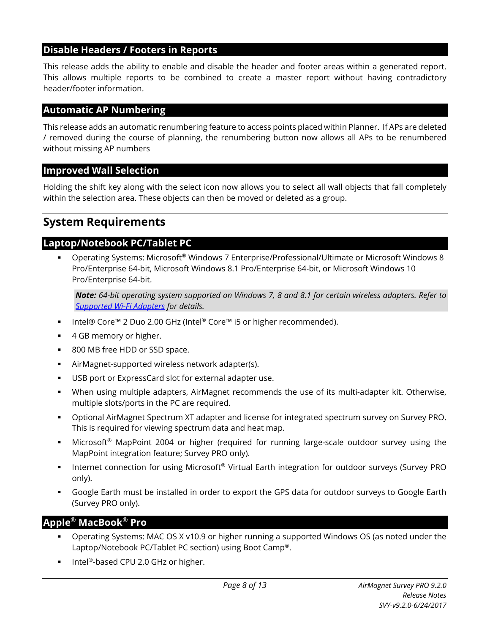#### <span id="page-7-1"></span>**Disable Headers / Footers in Reports**

This release adds the ability to enable and disable the header and footer areas within a generated report. This allows multiple reports to be combined to create a master report without having contradictory header/footer information.

#### <span id="page-7-2"></span>**Automatic AP Numbering**

This release adds an automatic renumbering feature to access points placed within Planner. If APs are deleted / removed during the course of planning, the renumbering button now allows all APs to be renumbered without missing AP numbers

#### <span id="page-7-3"></span>**Improved Wall Selection**

Holding the shift key along with the select icon now allows you to select all wall objects that fall completely within the selection area. These objects can then be moved or deleted as a group.

## <span id="page-7-0"></span>**System Requirements**

#### **Laptop/Notebook PC/Tablet PC**

 Operating Systems: Microsoft® Windows 7 Enterprise/Professional/Ultimate or Microsoft Windows 8 Pro/Enterprise 64-bit, Microsoft Windows 8.1 Pro/Enterprise 64-bit, or Microsoft Windows 10 Pro/Enterprise 64-bit.

*Note: 64-bit operating system supported on Windows 7, 8 and 8.1 for certain wireless adapters. Refer to [Supported Wi-Fi Adapters](#page-8-1) for details.*

- Intel® Core™ 2 Duo 2.00 GHz (Intel® Core™ i5 or higher recommended).
- 4 GB memory or higher.
- 800 MB free HDD or SSD space.
- AirMagnet-supported wireless network adapter(s).
- USB port or ExpressCard slot for external adapter use.
- When using multiple adapters, AirMagnet recommends the use of its multi-adapter kit. Otherwise, multiple slots/ports in the PC are required.
- Optional AirMagnet Spectrum XT adapter and license for integrated spectrum survey on Survey PRO. This is required for viewing spectrum data and heat map.
- Microsoft® MapPoint 2004 or higher (required for running large-scale outdoor survey using the MapPoint integration feature; Survey PRO only).
- Internet connection for using Microsoft<sup>®</sup> Virtual Earth integration for outdoor surveys (Survey PRO only).
- Google Earth must be installed in order to export the GPS data for outdoor surveys to Google Earth (Survey PRO only).

#### **Apple**® **MacBook**® **Pro**

- Operating Systems: MAC OS X v10.9 or higher running a supported Windows OS (as noted under the Laptop/Notebook PC/Tablet PC section) using Boot Camp®.
- Intel®-based CPU 2.0 GHz or higher.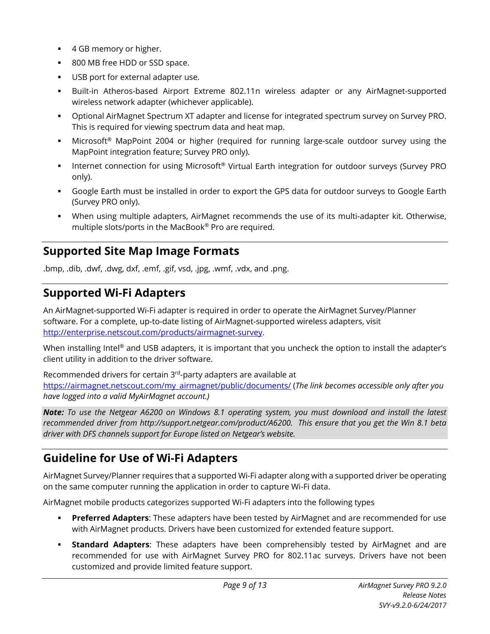- 4 GB memory or higher.
- 800 MB free HDD or SSD space.
- USB port for external adapter use.
- Built-in Atheros-based Airport Extreme 802.11n wireless adapter or any AirMagnet-supported wireless network adapter (whichever applicable).
- Optional AirMagnet Spectrum XT adapter and license for integrated spectrum survey on Survey PRO. This is required for viewing spectrum data and heat map.
- Microsoft<sup>®</sup> MapPoint 2004 or higher (required for running large-scale outdoor survey using the MapPoint integration feature; Survey PRO only).
- Internet connection for using Microsoft<sup>®</sup> Virtual Earth integration for outdoor surveys (Survey PRO only).
- Google Earth must be installed in order to export the GPS data for outdoor surveys to Google Earth (Survey PRO only).
- When using multiple adapters, AirMagnet recommends the use of its multi-adapter kit. Otherwise, multiple slots/ports in the MacBook® Pro are required.

# <span id="page-8-0"></span>**Supported Site Map Image Formats**

.bmp, .dib, .dwf, .dwg, dxf, .emf, .gif, vsd, .jpg, .wmf, .vdx, and .png.

# <span id="page-8-1"></span>**Supported Wi-Fi Adapters**

An AirMagnet-supported Wi-Fi adapter is required in order to operate the AirMagnet Survey/Planner software. For a complete, up-to-date listing of AirMagnet-supported wireless adapters, visit [http://enterprise.netscout.com/products/airmagnet-survey.](http://enterprise.netscout.com/products/airmagnet-survey)

When installing Intel® and USB adapters, it is important that you uncheck the option to install the adapter's client utility in addition to the driver software.

Recommended drivers for certain 3rd-party adapters are available at [https://airmagnet.netscout.com/my\\_airmagnet/public/documents/](https://airmagnet.netscout.com/my_airmagnet/public/documents/) (*The link becomes accessible only after you have logged into a valid MyAirMagnet account.)*

*Note: To use the Netgear A6200 on Windows 8.1 operating system, you must download and install the latest recommended driver from http://support.netgear.com/product/A6200. This ensure that you get the Win 8.1 beta driver with DFS channels support for Europe listed on Netgear's website.*

# <span id="page-8-2"></span>**Guideline for Use of Wi-Fi Adapters**

AirMagnet Survey/Planner requires that a supported Wi-Fi adapter along with a supported driver be operating on the same computer running the application in order to capture Wi-Fi data.

AirMagnet mobile products categorizes supported Wi-Fi adapters into the following types

- **Preferred Adapters**: These adapters have been tested by AirMagnet and are recommended for use with AirMagnet products. Drivers have been customized for extended feature support.
- **Standard Adapters**: These adapters have been comprehensibly tested by AirMagnet and are recommended for use with AirMagnet Survey PRO for 802.11ac surveys. Drivers have not been customized and provide limited feature support.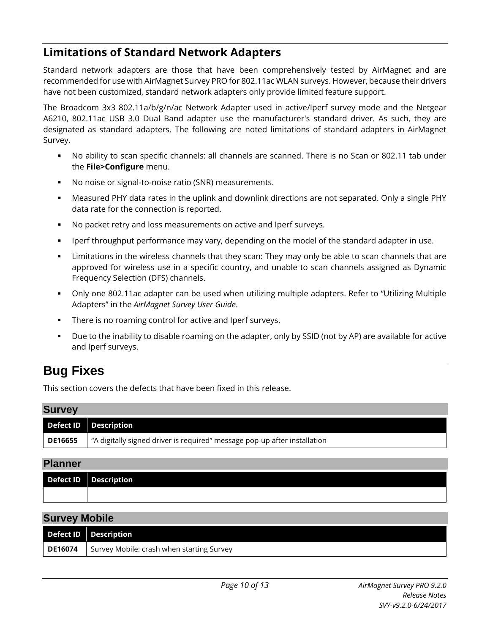# <span id="page-9-0"></span>**Limitations of Standard Network Adapters**

Standard network adapters are those that have been comprehensively tested by AirMagnet and are recommended for use with AirMagnet Survey PRO for 802.11ac WLAN surveys. However, because their drivers have not been customized, standard network adapters only provide limited feature support.

The Broadcom 3x3 802.11a/b/g/n/ac Network Adapter used in active/Iperf survey mode and the Netgear A6210, 802.11ac USB 3.0 Dual Band adapter use the manufacturer's standard driver. As such, they are designated as standard adapters. The following are noted limitations of standard adapters in AirMagnet Survey.

- No ability to scan specific channels: all channels are scanned. There is no Scan or 802.11 tab under the **File>Configure** menu.
- No noise or signal-to-noise ratio (SNR) measurements.
- Measured PHY data rates in the uplink and downlink directions are not separated. Only a single PHY data rate for the connection is reported.
- No packet retry and loss measurements on active and Iperf surveys.
- Iperf throughput performance may vary, depending on the model of the standard adapter in use.
- Limitations in the wireless channels that they scan: They may only be able to scan channels that are approved for wireless use in a specific country, and unable to scan channels assigned as Dynamic Frequency Selection (DFS) channels.
- Only one 802.11ac adapter can be used when utilizing multiple adapters. Refer to "Utilizing Multiple Adapters" in the *AirMagnet Survey User Guide*.
- There is no roaming control for active and Iperf surveys.
- Due to the inability to disable roaming on the adapter, only by SSID (not by AP) are available for active and Iperf surveys.

# <span id="page-9-1"></span>**Bug Fixes**

This section covers the defects that have been fixed in this release.

# **Survey Defect ID Description DE16655**  $\parallel$  "A digitally signed driver is required" message pop-up after installation

#### **Planner**

| Defect ID   Description |
|-------------------------|
|                         |

#### **Survey Mobile**

|                | Defect ID Description                     |
|----------------|-------------------------------------------|
| <b>DE16074</b> | Survey Mobile: crash when starting Survey |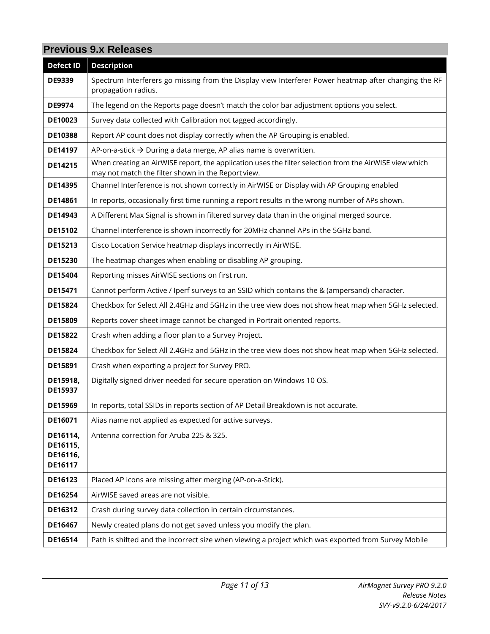## **Previous 9.x Releases**

| <b>Defect ID</b>                            | <b>Description</b>                                                                                                                                           |
|---------------------------------------------|--------------------------------------------------------------------------------------------------------------------------------------------------------------|
| <b>DE9339</b>                               | Spectrum Interferers go missing from the Display view Interferer Power heatmap after changing the RF<br>propagation radius.                                  |
| <b>DE9974</b>                               | The legend on the Reports page doesn't match the color bar adjustment options you select.                                                                    |
| DE10023                                     | Survey data collected with Calibration not tagged accordingly.                                                                                               |
| <b>DE10388</b>                              | Report AP count does not display correctly when the AP Grouping is enabled.                                                                                  |
| <b>DE14197</b>                              | AP-on-a-stick $\rightarrow$ During a data merge, AP alias name is overwritten.                                                                               |
| <b>DE14215</b>                              | When creating an AirWISE report, the application uses the filter selection from the AirWISE view which<br>may not match the filter shown in the Report view. |
| <b>DE14395</b>                              | Channel Interference is not shown correctly in AirWISE or Display with AP Grouping enabled                                                                   |
| DE14861                                     | In reports, occasionally first time running a report results in the wrong number of APs shown.                                                               |
| <b>DE14943</b>                              | A Different Max Signal is shown in filtered survey data than in the original merged source.                                                                  |
| <b>DE15102</b>                              | Channel interference is shown incorrectly for 20MHz channel APs in the 5GHz band.                                                                            |
| DE15213                                     | Cisco Location Service heatmap displays incorrectly in AirWISE.                                                                                              |
| DE15230                                     | The heatmap changes when enabling or disabling AP grouping.                                                                                                  |
| <b>DE15404</b>                              | Reporting misses AirWISE sections on first run.                                                                                                              |
| <b>DE15471</b>                              | Cannot perform Active / Iperf surveys to an SSID which contains the & (ampersand) character.                                                                 |
| <b>DE15824</b>                              | Checkbox for Select All 2.4GHz and 5GHz in the tree view does not show heat map when 5GHz selected.                                                          |
| <b>DE15809</b>                              | Reports cover sheet image cannot be changed in Portrait oriented reports.                                                                                    |
| <b>DE15822</b>                              | Crash when adding a floor plan to a Survey Project.                                                                                                          |
| DE15824                                     | Checkbox for Select All 2.4GHz and 5GHz in the tree view does not show heat map when 5GHz selected.                                                          |
| DE15891                                     | Crash when exporting a project for Survey PRO.                                                                                                               |
| DE15918,<br>DE15937                         | Digitally signed driver needed for secure operation on Windows 10 OS.                                                                                        |
| <b>DE15969</b>                              | In reports, total SSIDs in reports section of AP Detail Breakdown is not accurate.                                                                           |
| <b>DE16071</b>                              | Alias name not applied as expected for active surveys.                                                                                                       |
| DE16114,<br>DE16115,<br>DE16116,<br>DE16117 | Antenna correction for Aruba 225 & 325.                                                                                                                      |
| DE16123                                     | Placed AP icons are missing after merging (AP-on-a-Stick).                                                                                                   |
| DE16254                                     | AirWISE saved areas are not visible.                                                                                                                         |
| DE16312                                     | Crash during survey data collection in certain circumstances.                                                                                                |
| DE16467                                     | Newly created plans do not get saved unless you modify the plan.                                                                                             |
| DE16514                                     | Path is shifted and the incorrect size when viewing a project which was exported from Survey Mobile                                                          |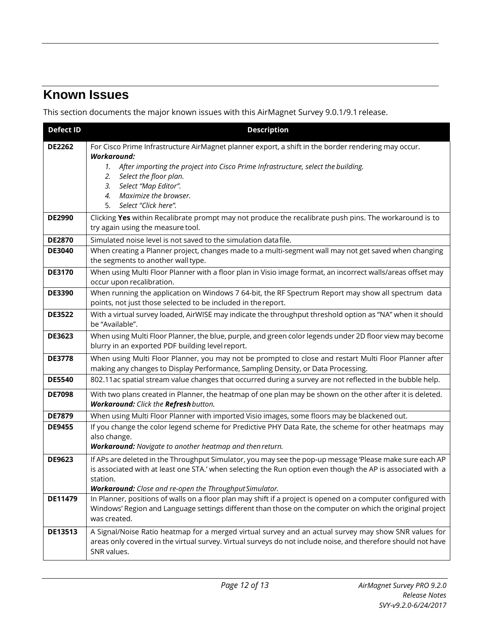# <span id="page-11-0"></span>**Known Issues**

This section documents the major known issues with this AirMagnet Survey 9.0.1/9.1 release.

| <b>Defect ID</b> | <b>Description</b>                                                                                                                                                                                                                                                                                                                              |
|------------------|-------------------------------------------------------------------------------------------------------------------------------------------------------------------------------------------------------------------------------------------------------------------------------------------------------------------------------------------------|
| <b>DE2262</b>    | For Cisco Prime Infrastructure AirMagnet planner export, a shift in the border rendering may occur.<br><b>Workaround:</b><br>After importing the project into Cisco Prime Infrastructure, select the building.<br>1.<br>Select the floor plan.<br>2.<br>Select "Map Editor".<br>3.<br>Maximize the browser.<br>4.<br>Select "Click here".<br>5. |
| <b>DE2990</b>    | Clicking Yes within Recalibrate prompt may not produce the recalibrate push pins. The workaround is to<br>try again using the measure tool.                                                                                                                                                                                                     |
| <b>DE2870</b>    | Simulated noise level is not saved to the simulation datafile.                                                                                                                                                                                                                                                                                  |
| <b>DE3040</b>    | When creating a Planner project, changes made to a multi-segment wall may not get saved when changing<br>the segments to another wall type.                                                                                                                                                                                                     |
| <b>DE3170</b>    | When using Multi Floor Planner with a floor plan in Visio image format, an incorrect walls/areas offset may<br>occur upon recalibration.                                                                                                                                                                                                        |
| <b>DE3390</b>    | When running the application on Windows 7 64-bit, the RF Spectrum Report may show all spectrum data<br>points, not just those selected to be included in the report.                                                                                                                                                                            |
| <b>DE3522</b>    | With a virtual survey loaded, AirWISE may indicate the throughput threshold option as "NA" when it should<br>be "Available".                                                                                                                                                                                                                    |
| <b>DE3623</b>    | When using Multi Floor Planner, the blue, purple, and green color legends under 2D floor view may become<br>blurry in an exported PDF building level report.                                                                                                                                                                                    |
| <b>DE3778</b>    | When using Multi Floor Planner, you may not be prompted to close and restart Multi Floor Planner after<br>making any changes to Display Performance, Sampling Density, or Data Processing.                                                                                                                                                      |
| <b>DE5540</b>    | 802.11ac spatial stream value changes that occurred during a survey are not reflected in the bubble help.                                                                                                                                                                                                                                       |
| <b>DE7098</b>    | With two plans created in Planner, the heatmap of one plan may be shown on the other after it is deleted.<br>Workaround: Click the Refresh button.                                                                                                                                                                                              |
| <b>DE7879</b>    | When using Multi Floor Planner with imported Visio images, some floors may be blackened out.                                                                                                                                                                                                                                                    |
| <b>DE9455</b>    | If you change the color legend scheme for Predictive PHY Data Rate, the scheme for other heatmaps may<br>also change.<br>Workaround: Navigate to another heatmap and then return.                                                                                                                                                               |
| <b>DE9623</b>    | If APs are deleted in the Throughput Simulator, you may see the pop-up message 'Please make sure each AP<br>is associated with at least one STA.' when selecting the Run option even though the AP is associated with a<br>station.<br>Workaround: Close and re-open the Throughput Simulator.                                                  |
| DE11479          | In Planner, positions of walls on a floor plan may shift if a project is opened on a computer configured with<br>Windows' Region and Language settings different than those on the computer on which the original project<br>was created.                                                                                                       |
| DE13513          | A Signal/Noise Ratio heatmap for a merged virtual survey and an actual survey may show SNR values for<br>areas only covered in the virtual survey. Virtual surveys do not include noise, and therefore should not have<br>SNR values.                                                                                                           |